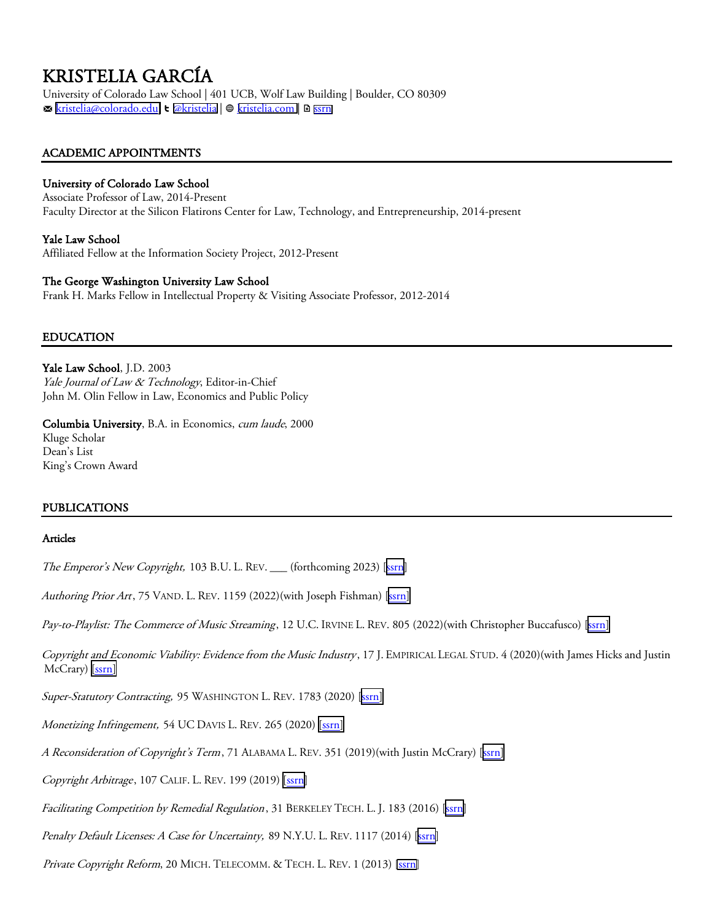KRISTELIA GARCÍA<br>University of Colorado Law School | 401 UCB, Wolf Law Building | Boulder, CO 80309 m [kristelia@colorado.edu|](mailto:kristelia@colorado.edu) T [@kristelia](https://twitter.com/kristelia) | w [kristelia.com](https://www.kristelia.com/) | D [ssrn](https://papers.ssrn.com/sol3/cf_dev/AbsByAuth.cfm?per_id=1885418)

## ACADEMIC APPOINTMENTS

## University of Colorado Law School

Associate Professor of Law, 2014-Present Faculty Director at the Silicon Flatirons Center for Law, Technology, and Entrepreneurship, 2014-present

## Yale Law School

Affiliated Fellow at the Information Society Project, 2012-Present

## The George Washington University Law School

Frank H. Marks Fellow in Intellectual Property & Visiting Associate Professor, 2012-2014

## EDUCATION

Yale Law School, J.D. 2003 Yale Journal of Law & Technology, Editor-in-Chief John M. Olin Fellow in Law, Economics and Public Policy

Columbia University, B.A. in Economics, cum laude, 2000 Kluge Scholar Dean's List King's Crown Award

## PUBLICATIONS

#### Articles

The Emperor's New Copyright, 103 B.U. L. REV. \_\_\_ (forthcoming 2023) [\[ssrn\]](https://papers.ssrn.com/sol3/papers.cfm?abstract_id=4048315)

Authoring Prior Art, 75 VAND. L. REV. 1159 (2022)(with Joseph Fishman) [\[ssrn\]](https://papers.ssrn.com/sol3/papers.cfm?abstract_id=3966712)

Pay-to-Playlist: The Commerce of Music Streaming, 12 U.C. IRVINE L. REV. 805 (2022)(with Christopher Buccafusco) [[ssrn\]](https://papers.ssrn.com/sol3/papers.cfm?abstract_id=3793043)

Copyright and Economic Viability: Evidence from the Music Industry, 17 J. EMPIRICAL LEGAL STUD. 4 (2020)(with James Hicks and Justin McCrary) [\[ssrn\]](https://papers.ssrn.com/sol3/papers.cfm?abstract_id=3528564)

Super-Statutory Contracting, 95 WASHINGTON L. REV. 1783 (2020) [\[ssrn\]](https://papers.ssrn.com/sol3/papers.cfm?abstract_id=3547557)

Monetizing Infringement, 54 UC DAVIS L. REV. 265 (2020) [\[ssrn\]](https://papers.ssrn.com/sol3/papers.cfm?abstract_id=3553453)

A Reconsideration of Copyright's Term, 71 ALABAMA L. REV. 351 (2019)(with Justin McCrary) [\[ssrn\]](https://papers.ssrn.com/sol3/papers.cfm?abstract_id=3357965)

Copyright Arbitrage, 107 CALIF. L. REV. 199 (2019) [SSIN]

Facilitating Competition by Remedial Regulation, 31 BERKELEY TECH. L. J. 183 (2016) [\[ssrn](https://papers.ssrn.com/sol3/papers.cfm?abstract_id=2781189)]

Penalty Default Licenses: A Case for Uncertainty, 89 N.Y.U. L. REV. 1117 (2014) [[ssrn\]](https://papers.ssrn.com/sol3/papers.cfm?abstract_id=2313943)

Private Copyright Reform, 20 MICH. TELECOMM. & TECH. L. REV. 1 (2013) [\[ssrn\]](https://papers.ssrn.com/sol3/papers.cfm?abstract_id=2229538)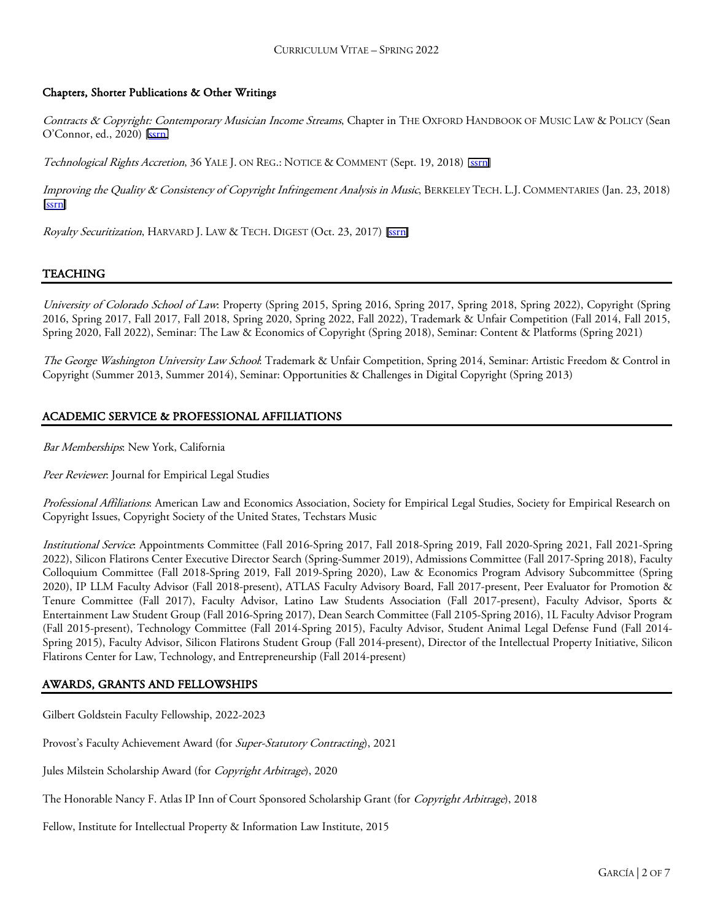## Chapters, Shorter Publications & Other Writings

Contracts & Copyright: Contemporary Musician Income Streams, Chapter in THE OXFORD HANDBOOK OF MUSIC LAW & POLICY (Sean O'Connor, ed., 2020) [\[ssrn\]](https://papers.ssrn.com/sol3/papers.cfm?abstract_id=3620401)

Technological Rights Accretion, 36 YALE J. ON REG.: NOTICE & COMMENT (Sept. 19, 2018) [SSTI]

Improving the Quality & Consistency of Copyright Infringement Analysis in Music, BERKELEY TECH. L.J. COMMENTARIES (Jan. 23, 2018) [\[ssrn\]](https://btlj.org/2018/01/improving-the-quality-and-consistency-of-copyright-infringement-analysis-in-music/)

Royalty Securitization, HARVARD J. LAW & TECH. DIGEST (Oct. 23, 2017) [\[ssrn\]](https://jolt.law.harvard.edu/digest/royalty-securitization)

## TEACHING

University of Colorado School of Law: Property (Spring 2015, Spring 2016, Spring 2017, Spring 2018, Spring 2022), Copyright (Spring 2016, Spring 2017, Fall 2017, Fall 2018, Spring 2020, Spring 2022, Fall 2022), Trademark & Unfair Competition (Fall 2014, Fall 2015, Spring 2020, Fall 2022), Seminar: The Law & Economics of Copyright (Spring 2018), Seminar: Content & Platforms (Spring 2021)

The George Washington University Law School: Trademark & Unfair Competition, Spring 2014, Seminar: Artistic Freedom & Control in Copyright (Summer 2013, Summer 2014), Seminar: Opportunities & Challenges in Digital Copyright (Spring 2013)

## ACADEMIC SERVICE & PROFESSIONAL AFFILIATIONS

Bar Memberships: New York, California

Peer Reviewer: Journal for Empirical Legal Studies

Professional Affiliations: American Law and Economics Association, Society for Empirical Legal Studies, Society for Empirical Research on Copyright Issues, Copyright Society of the United States, Techstars Music

Institutional Service: Appointments Committee (Fall 2016-Spring 2017, Fall 2018-Spring 2019, Fall 2020-Spring 2021, Fall 2021-Spring 2022), Silicon Flatirons Center Executive Director Search (Spring-Summer 2019), Admissions Committee (Fall 2017-Spring 2018), Faculty Colloquium Committee (Fall 2018-Spring 2019, Fall 2019-Spring 2020), Law & Economics Program Advisory Subcommittee (Spring 2020), IP LLM Faculty Advisor (Fall 2018-present), ATLAS Faculty Advisory Board, Fall 2017-present, Peer Evaluator for Promotion & Tenure Committee (Fall 2017), Faculty Advisor, Latino Law Students Association (Fall 2017-present), Faculty Advisor, Sports & Entertainment Law Student Group (Fall 2016-Spring 2017), Dean Search Committee (Fall 2105-Spring 2016), 1L Faculty Advisor Program (Fall 2015-present), Technology Committee (Fall 2014-Spring 2015), Faculty Advisor, Student Animal Legal Defense Fund (Fall 2014- Spring 2015), Faculty Advisor, Silicon Flatirons Student Group (Fall 2014-present), Director of the Intellectual Property Initiative, Silicon Flatirons Center for Law, Technology, and Entrepreneurship (Fall 2014-present)

## AWARDS, GRANTS AND FELLOWSHIPS

Gilbert Goldstein Faculty Fellowship, 2022-2023

Provost's Faculty Achievement Award (for Super-Statutory Contracting), 2021

Jules Milstein Scholarship Award (for Copyright Arbitrage), 2020

The Honorable Nancy F. Atlas IP Inn of Court Sponsored Scholarship Grant (for Copyright Arbitrage), 2018

Fellow, Institute for Intellectual Property & Information Law Institute, 2015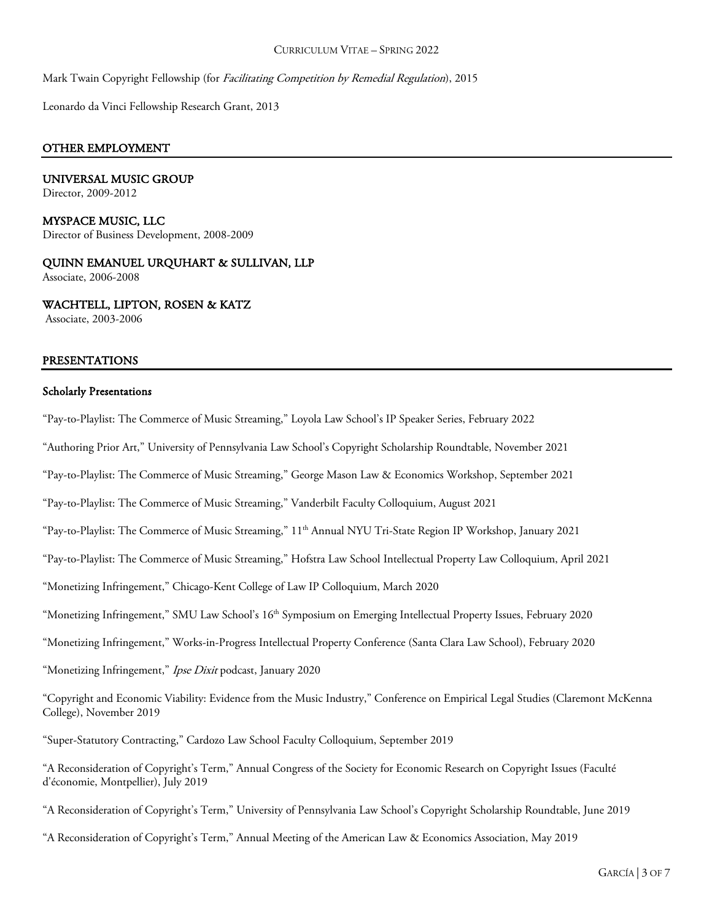Mark Twain Copyright Fellowship (for *Facilitating Competition by Remedial Regulation*), 2015

Leonardo da Vinci Fellowship Research Grant, 2013

#### OTHER EMPLOYMENT

# UNIVERSAL MUSIC GROUP

Director, 2009-2012

#### MYSPACE MUSIC, LLC Director of Business Development, 2008-2009

QUINN EMANUEL URQUHART & SULLIVAN, LLP Associate, 2006-2008

WACHTELL, LIPTON, ROSEN & KATZ

Associate, 2003-2006

#### PRESENTATIONS

#### Scholarly Presentations

"Pay-to-Playlist: The Commerce of Music Streaming," Loyola Law School's IP Speaker Series, February 2022

"Authoring Prior Art," University of Pennsylvania Law School's Copyright Scholarship Roundtable, November 2021

"Pay-to-Playlist: The Commerce of Music Streaming," George Mason Law & Economics Workshop, September 2021

"Pay-to-Playlist: The Commerce of Music Streaming," Vanderbilt Faculty Colloquium, August 2021

"Pay-to-Playlist: The Commerce of Music Streaming," 11<sup>th</sup> Annual NYU Tri-State Region IP Workshop, January 2021

"Pay-to-Playlist: The Commerce of Music Streaming," Hofstra Law School Intellectual Property Law Colloquium, April 2021

"Monetizing Infringement," Chicago-Kent College of Law IP Colloquium, March 2020

"Monetizing Infringement," SMU Law School's 16<sup>th</sup> Symposium on Emerging Intellectual Property Issues, February 2020

"Monetizing Infringement," Works-in-Progress Intellectual Property Conference (Santa Clara Law School), February 2020

"Monetizing Infringement," Ipse Dixit podcast, January 2020

"Copyright and Economic Viability: Evidence from the Music Industry," Conference on Empirical Legal Studies (Claremont McKenna College), November 2019

"Super-Statutory Contracting," Cardozo Law School Faculty Colloquium, September 2019

"A Reconsideration of Copyright's Term," Annual Congress of the Society for Economic Research on Copyright Issues (Faculté d'économie, Montpellier), July 2019

"A Reconsideration of Copyright's Term," University of Pennsylvania Law School's Copyright Scholarship Roundtable, June 2019

"A Reconsideration of Copyright's Term," Annual Meeting of the American Law & Economics Association, May 2019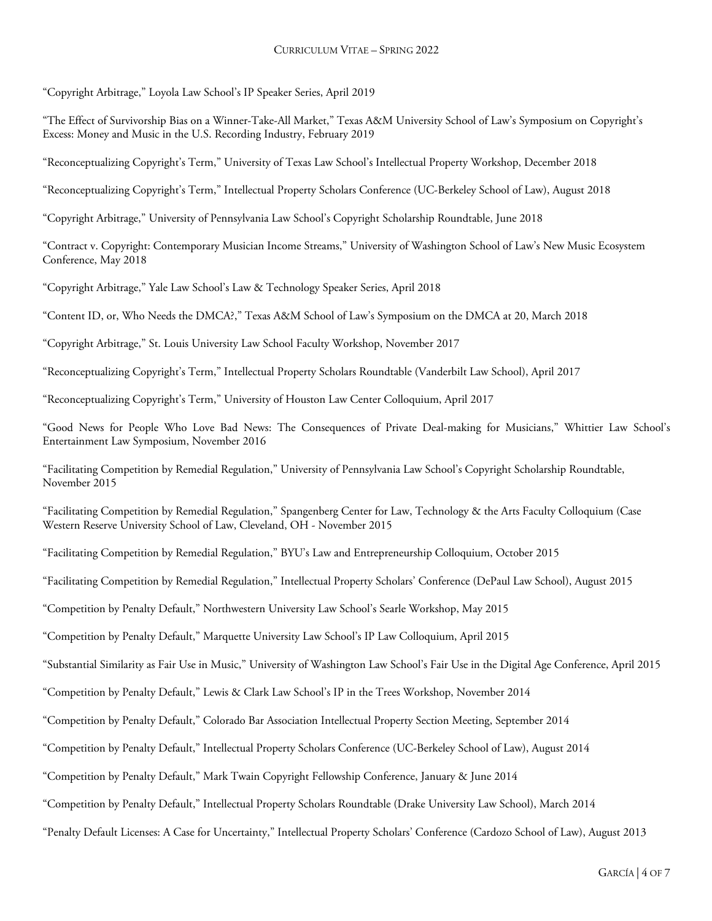"Copyright Arbitrage," Loyola Law School's IP Speaker Series, April 2019

"The Effect of Survivorship Bias on a Winner-Take-All Market," Texas A&M University School of Law's Symposium on Copyright's Excess: Money and Music in the U.S. Recording Industry, February 2019

"Reconceptualizing Copyright's Term," University of Texas Law School's Intellectual Property Workshop, December 2018

"Reconceptualizing Copyright's Term," Intellectual Property Scholars Conference (UC-Berkeley School of Law), August 2018

"Copyright Arbitrage," University of Pennsylvania Law School's Copyright Scholarship Roundtable, June 2018

"Contract v. Copyright: Contemporary Musician Income Streams," University of Washington School of Law's New Music Ecosystem Conference, May 2018

"Copyright Arbitrage," Yale Law School's Law & Technology Speaker Series, April 2018

"Content ID, or, Who Needs the DMCA?," Texas A&M School of Law's Symposium on the DMCA at 20, March 2018

"Copyright Arbitrage," St. Louis University Law School Faculty Workshop, November 2017

"Reconceptualizing Copyright's Term," Intellectual Property Scholars Roundtable (Vanderbilt Law School), April 2017

"Reconceptualizing Copyright's Term," University of Houston Law Center Colloquium, April 2017

"Good News for People Who Love Bad News: The Consequences of Private Deal-making for Musicians," Whittier Law School's Entertainment Law Symposium, November 2016

"Facilitating Competition by Remedial Regulation," University of Pennsylvania Law School's Copyright Scholarship Roundtable, November 2015

"Facilitating Competition by Remedial Regulation," Spangenberg Center for Law, Technology & the Arts Faculty Colloquium (Case Western Reserve University School of Law, Cleveland, OH - November 2015

"Facilitating Competition by Remedial Regulation," BYU's Law and Entrepreneurship Colloquium, October 2015

"Facilitating Competition by Remedial Regulation," Intellectual Property Scholars' Conference (DePaul Law School), August 2015

"Competition by Penalty Default," Northwestern University Law School's Searle Workshop, May 2015

"Competition by Penalty Default," Marquette University Law School's IP Law Colloquium, April 2015

"Substantial Similarity as Fair Use in Music," University of Washington Law School's Fair Use in the Digital Age Conference, April 2015

"Competition by Penalty Default," Lewis & Clark Law School's IP in the Trees Workshop, November 2014

"Competition by Penalty Default," Colorado Bar Association Intellectual Property Section Meeting, September 2014

"Competition by Penalty Default," Intellectual Property Scholars Conference (UC-Berkeley School of Law), August 2014

"Competition by Penalty Default," Mark Twain Copyright Fellowship Conference, January & June 2014

"Competition by Penalty Default," Intellectual Property Scholars Roundtable (Drake University Law School), March 2014

"Penalty Default Licenses: A Case for Uncertainty," Intellectual Property Scholars' Conference (Cardozo School of Law), August 2013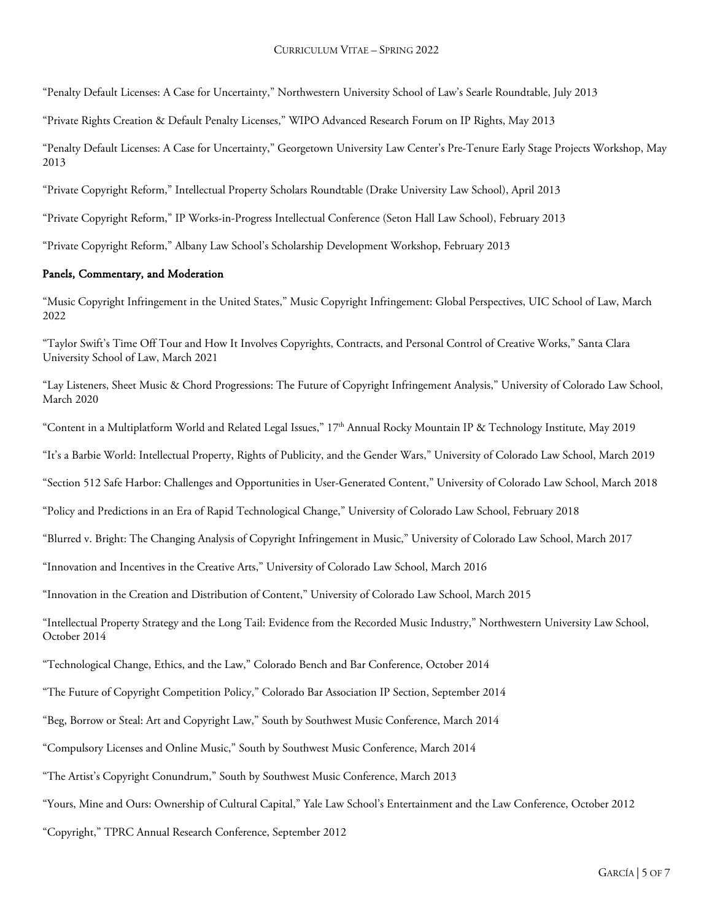"Penalty Default Licenses: A Case for Uncertainty," Northwestern University School of Law's Searle Roundtable, July 2013

"Private Rights Creation & Default Penalty Licenses," WIPO Advanced Research Forum on IP Rights, May 2013

"Penalty Default Licenses: A Case for Uncertainty," Georgetown University Law Center's Pre-Tenure Early Stage Projects Workshop, May 2013

"Private Copyright Reform," Intellectual Property Scholars Roundtable (Drake University Law School), April 2013

"Private Copyright Reform," IP Works-in-Progress Intellectual Conference (Seton Hall Law School), February 2013

"Private Copyright Reform," Albany Law School's Scholarship Development Workshop, February 2013

## Panels, Commentary, and Moderation

"Music Copyright Infringement in the United States," Music Copyright Infringement: Global Perspectives, UIC School of Law, March 2022

"Taylor Swift's Time Off Tour and How It Involves Copyrights, Contracts, and Personal Control of Creative Works," Santa Clara University School of Law, March 2021

"Lay Listeners, Sheet Music & Chord Progressions: The Future of Copyright Infringement Analysis," University of Colorado Law School, March 2020

"Content in a Multiplatform World and Related Legal Issues,"  $17<sup>th</sup>$  Annual Rocky Mountain IP & Technology Institute, May 2019

"It's a Barbie World: Intellectual Property, Rights of Publicity, and the Gender Wars," University of Colorado Law School, March 2019

"Section 512 Safe Harbor: Challenges and Opportunities in User-Generated Content," University of Colorado Law School, March 2018

"Policy and Predictions in an Era of Rapid Technological Change," University of Colorado Law School, February 2018

"Blurred v. Bright: The Changing Analysis of Copyright Infringement in Music," University of Colorado Law School, March 2017

"Innovation and Incentives in the Creative Arts," University of Colorado Law School, March 2016

"Innovation in the Creation and Distribution of Content," University of Colorado Law School, March 2015

"Intellectual Property Strategy and the Long Tail: Evidence from the Recorded Music Industry," Northwestern University Law School, October 2014

"Technological Change, Ethics, and the Law," Colorado Bench and Bar Conference, October 2014

"The Future of Copyright Competition Policy," Colorado Bar Association IP Section, September 2014

"Beg, Borrow or Steal: Art and Copyright Law," South by Southwest Music Conference, March 2014

"Compulsory Licenses and Online Music," South by Southwest Music Conference, March 2014

"The Artist's Copyright Conundrum," South by Southwest Music Conference, March 2013

"Yours, Mine and Ours: Ownership of Cultural Capital," Yale Law School's Entertainment and the Law Conference, October 2012

"Copyright," TPRC Annual Research Conference, September 2012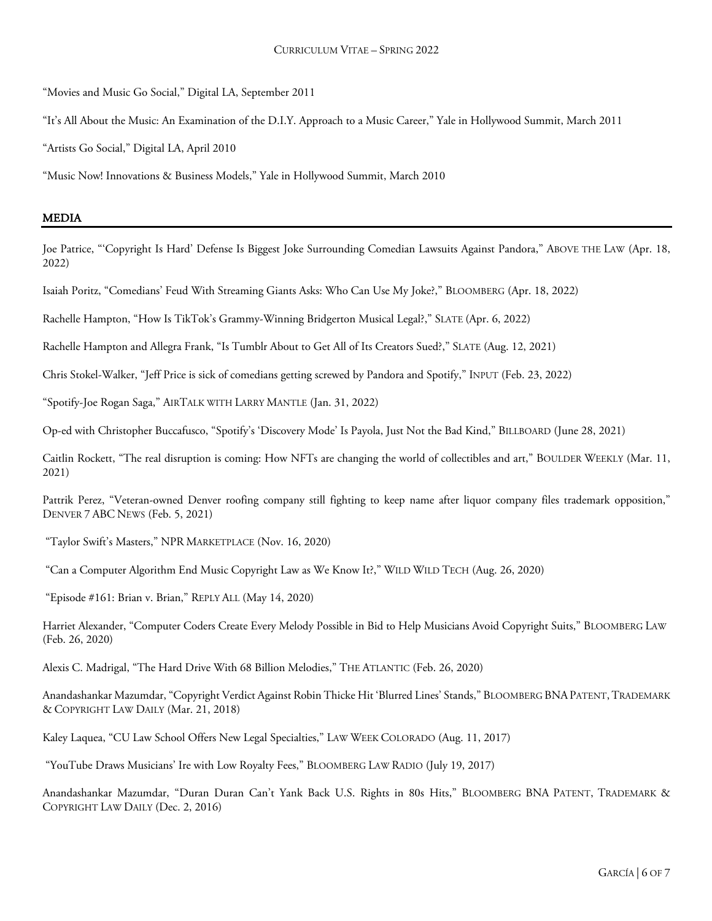"Movies and Music Go Social," Digital LA, September 2011

"It's All About the Music: An Examination of the D.I.Y. Approach to a Music Career," Yale in Hollywood Summit, March 2011

"Artists Go Social," Digital LA, April 2010

"Music Now! Innovations & Business Models," Yale in Hollywood Summit, March 2010

#### MEDIA

Joe Patrice, "'Copyright Is Hard' Defense Is Biggest Joke Surrounding Comedian Lawsuits Against Pandora," ABOVE THE LAW (Apr. 18, 2022)

Isaiah Poritz, "Comedians' Feud With Streaming Giants Asks: Who Can Use My Joke?," BLOOMBERG (Apr. 18, 2022)

Rachelle Hampton, "How Is TikTok's Grammy-Winning Bridgerton Musical Legal?," SLATE (Apr. 6, 2022)

Rachelle Hampton and Allegra Frank, "Is Tumblr About to Get All of Its Creators Sued?," SLATE (Aug. 12, 2021)

Chris Stokel-Walker, "Jeff Price is sick of comedians getting screwed by Pandora and Spotify," INPUT (Feb. 23, 2022)

"Spotify-Joe Rogan Saga," AIRTALK WITH LARRY MANTLE (Jan. 31, 2022)

Op-ed with Christopher Buccafusco, "Spotify's 'Discovery Mode' Is Payola, Just Not the Bad Kind," BILLBOARD (June 28, 2021)

Caitlin Rockett, "The real disruption is coming: How NFTs are changing the world of collectibles and art," BOULDER WEEKLY (Mar. 11, 2021)

Pattrik Perez, "Veteran-owned Denver roofing company still fighting to keep name after liquor company files trademark opposition," DENVER 7 ABC NEWS (Feb. 5, 2021)

"Taylor Swift's Masters," NPR MARKETPLACE (Nov. 16, 2020)

"Can a Computer Algorithm End Music Copyright Law as We Know It?," WILD WILD TECH (Aug. 26, 2020)

"Episode #161: Brian v. Brian," REPLY ALL (May 14, 2020)

Harriet Alexander, "Computer Coders Create Every Melody Possible in Bid to Help Musicians Avoid Copyright Suits," BLOOMBERG LAW (Feb. 26, 2020)

Alexis C. Madrigal, "The Hard Drive With 68 Billion Melodies," THE ATLANTIC (Feb. 26, 2020)

Anandashankar Mazumdar, "Copyright Verdict Against Robin Thicke Hit 'Blurred Lines' Stands," BLOOMBERG BNAPATENT,TRADEMARK & COPYRIGHT LAW DAILY (Mar. 21, 2018)

Kaley Laquea, "CU Law School Offers New Legal Specialties," LAW WEEK COLORADO (Aug. 11, 2017)

"YouTube Draws Musicians' Ire with Low Royalty Fees," BLOOMBERG LAW RADIO (July 19, 2017)

Anandashankar Mazumdar, "Duran Duran Can't Yank Back U.S. Rights in 80s Hits," BLOOMBERG BNA PATENT, TRADEMARK & COPYRIGHT LAW DAILY (Dec. 2, 2016)